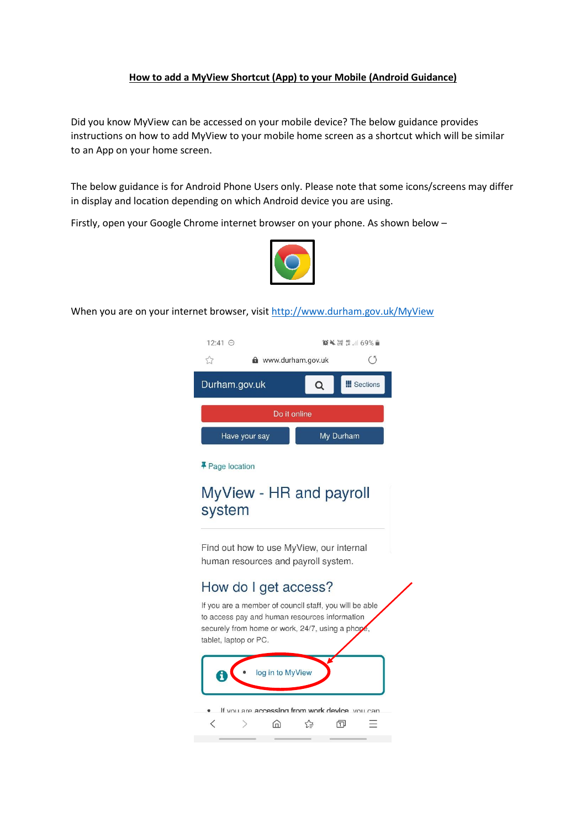## **How to add a MyView Shortcut (App) to your Mobile (Android Guidance)**

Did you know MyView can be accessed on your mobile device? The below guidance provides instructions on how to add MyView to your mobile home screen as a shortcut which will be similar to an App on your home screen.

The below guidance is for Android Phone Users only. Please note that some icons/screens may differ in display and location depending on which Android device you are using.

Firstly, open your Google Chrome internet browser on your phone. As shown below –



When you are on your internet browser, visi[t http://www.durham.gov.uk/MyView](http://www.durham.gov.uk/MyView)

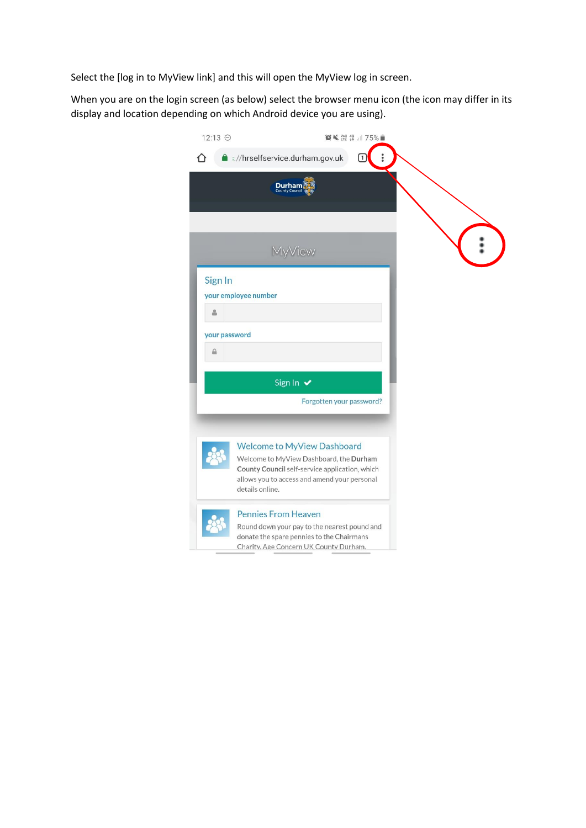Select the [log in to MyView link] and this will open the MyView log in screen.

When you are on the login screen (as below) select the browser menu icon (the icon may differ in its display and location depending on which Android device you are using).

| 12:13 ℮       | <b>■ ※ ¥ ¥ ¥ 49 .</b> 1 75%                                                                                                                                                                        |  |
|---------------|----------------------------------------------------------------------------------------------------------------------------------------------------------------------------------------------------|--|
|               | <b>a</b> :://hrselfservice.durham.gov.uk<br>∩                                                                                                                                                      |  |
|               | <b>Durham</b><br>County Council                                                                                                                                                                    |  |
|               | MyView                                                                                                                                                                                             |  |
| Sign In       |                                                                                                                                                                                                    |  |
|               | your employee number                                                                                                                                                                               |  |
|               |                                                                                                                                                                                                    |  |
| your password |                                                                                                                                                                                                    |  |
| ≙             |                                                                                                                                                                                                    |  |
|               | Sign In v                                                                                                                                                                                          |  |
|               | Forgotten your password?                                                                                                                                                                           |  |
|               |                                                                                                                                                                                                    |  |
|               |                                                                                                                                                                                                    |  |
|               | <b>Welcome to MyView Dashboard</b><br>Welcome to MyView Dashboard, the Durham<br>County Council self-service application, which<br>allows you to access and amend your personal<br>details online. |  |
|               | <b>Pennies From Heaven</b>                                                                                                                                                                         |  |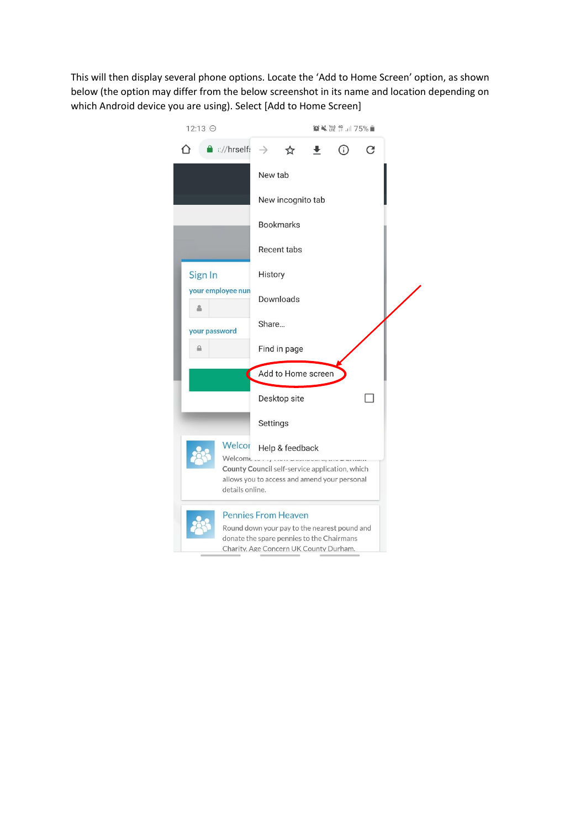This will then display several phone options. Locate the 'Add to Home Screen' option, as shown below (the option may differ from the below screenshot in its name and location depending on which Android device you are using). Select [Add to Home Screen]

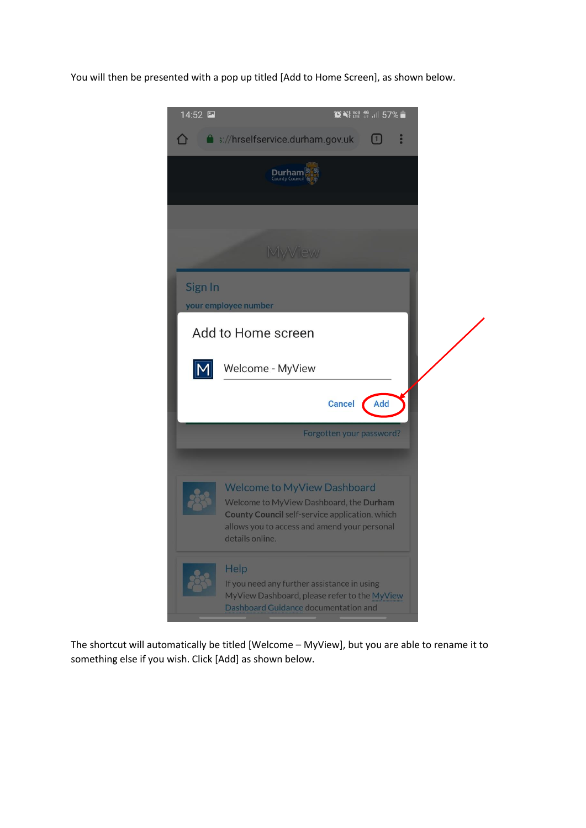You will then be presented with a pop up titled [Add to Home Screen], as shown below.



The shortcut will automatically be titled [Welcome – MyView], but you are able to rename it to something else if you wish. Click [Add] as shown below.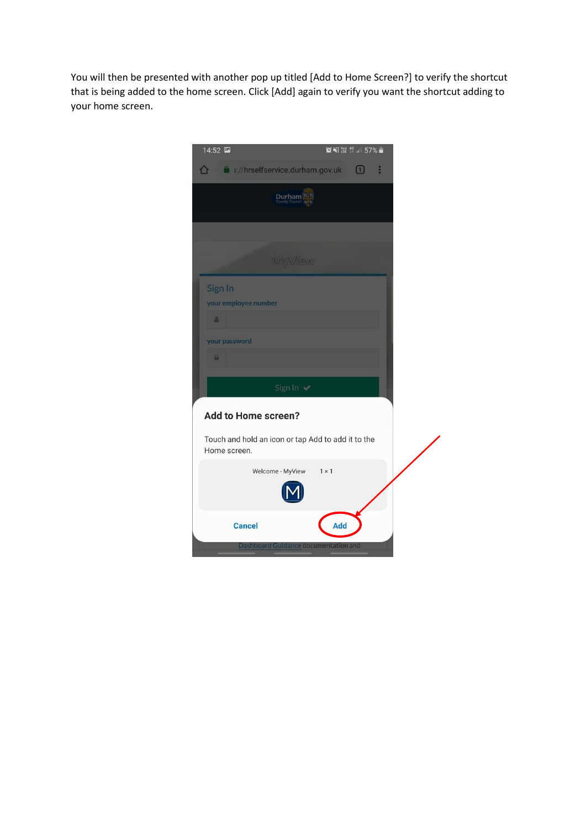You will then be presented with another pop up titled [Add to Home Screen?] to verify the shortcut that is being added to the home screen. Click [Add] again to verify you want the shortcut adding to your home screen.

| 14:52         |                                                    |              | <b>ONE YELL 46 JUL 57%</b> |  |
|---------------|----------------------------------------------------|--------------|----------------------------|--|
|               | 1 ://hrselfservice.durham.gov.uk 1                 |              | å                          |  |
|               | Durham                                             |              |                            |  |
|               | MyView                                             |              |                            |  |
|               |                                                    |              |                            |  |
| Sign In       | your employee number                               |              |                            |  |
| å.            |                                                    |              |                            |  |
| your password |                                                    |              |                            |  |
| $\triangle$   |                                                    |              |                            |  |
|               | Sign In ✔                                          |              |                            |  |
|               | Add to Home screen?                                |              |                            |  |
| Home screen.  | Touch and hold an icon or tap Add to add it to the |              |                            |  |
|               | Welcome - MyView                                   | $1 \times 1$ |                            |  |
|               |                                                    |              |                            |  |
|               | <b>Cancel</b>                                      | Add          |                            |  |
|               | Dashboard Guidance documentation and               |              |                            |  |